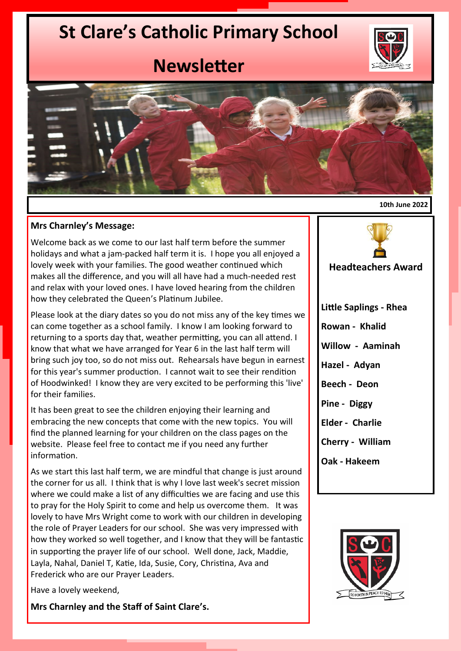# **St Clare's Catholic Primary School**



## **Newsletter**



#### **10th June 2022**

#### **Mrs Charnley's Message:**

Welcome back as we come to our last half term before the summer holidays and what a jam-packed half term it is. I hope you all enjoyed a lovely week with your families. The good weather continued which makes all the difference, and you will all have had a much-needed rest and relax with your loved ones. I have loved hearing from the children how they celebrated the Queen's Platinum Jubilee.

Please look at the diary dates so you do not miss any of the key times we can come together as a school family. I know I am looking forward to returning to a sports day that, weather permitting, you can all attend. I know that what we have arranged for Year 6 in the last half term will bring such joy too, so do not miss out. Rehearsals have begun in earnest for this year's summer production. I cannot wait to see their rendition of Hoodwinked! I know they are very excited to be performing this 'live' for their families.

It has been great to see the children enjoying their learning and embracing the new concepts that come with the new topics. You will find the planned learning for your children on the class pages on the website. Please feel free to contact me if you need any further information.

As we start this last half term, we are mindful that change is just around the corner for us all. I think that is why I love last week's secret mission where we could make a list of any difficulties we are facing and use this to pray for the Holy Spirit to come and help us overcome them. It was lovely to have Mrs Wright come to work with our children in developing the role of Prayer Leaders for our school. She was very impressed with how they worked so well together, and I know that they will be fantastic in supporting the prayer life of our school.Well done, Jack, Maddie, Layla, Nahal, Daniel T, Katie, Ida, Susie, Cory, Christina, Ava and Frederick who are our Prayer Leaders.

Have a lovely weekend,

**Mrs Charnley and the Staff of Saint Clare's.**



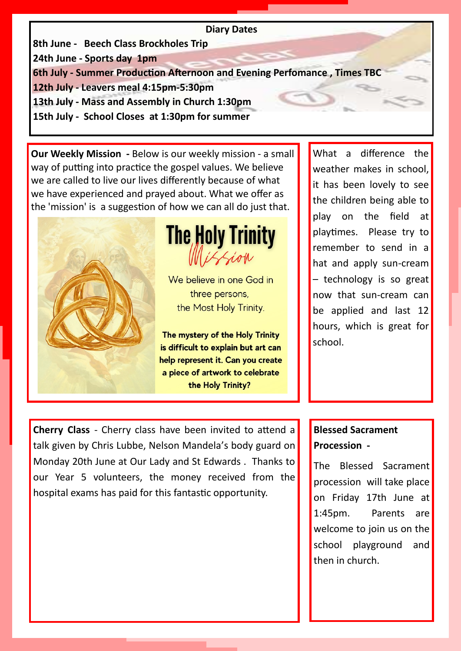#### **Diary Dates**

**8th June - Beech Class Brockholes Trip** 

**24th June - Sports day 1pm**

**6th July - Summer Production Afternoon and Evening Perfomance , Times TBC**

**12th July - Leavers meal 4:15pm-5:30pm** 

**13th July - Mass and Assembly in Church 1:30pm**

**15th July - School Closes at 1:30pm for summer** 

**Our Weekly Mission -** Below is our weekly mission - a small way of putting into practice the gospel values. We believe we are called to live our lives differently because of what we have experienced and prayed about. What we offer as the 'mission' is a suggestion of how we can all do just that.





We believe in one God in three persons, the Most Holy Trinity.

The mystery of the Holy Trinity is difficult to explain but art can help represent it. Can you create a piece of artwork to celebrate the Holy Trinity?

What a difference the weather makes in school, it has been lovely to see the children being able to play on the field at playtimes. Please try to remember to send in a hat and apply sun-cream – technology is so great now that sun-cream can be applied and last 12 hours, which is great for school.

**Cherry Class** - Cherry class have been invited to attend a talk given by Chris Lubbe, Nelson Mandela's body guard on Monday 20th June at Our Lady and St Edwards . Thanks to our Year 5 volunteers, the money received from the hospital exams has paid for this fantastic opportunity.

### **Blessed Sacrament Procession -**

The Blessed Sacrament procession will take place on Friday 17th June at 1:45pm. Parents are welcome to join us on the school playground and then in church.